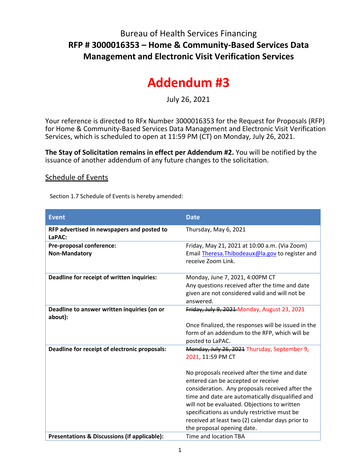## Bureau of Health Services Financing **RFP # 3000016353 – Home & Community-Based Services Data Management and Electronic Visit Verification Services**

## **Addendum #3**

July 26, 2021

Your reference is directed to RFx Number 3000016353 for the Request for Proposals (RFP) for Home & Community-Based Services Data Management and Electronic Visit Verification Services, which is scheduled to open at 11:59 PM (CT) on Monday, July 26, 2021.

**The Stay of Solicitation remains in effect per Addendum #2.** You will be notified by the issuance of another addendum of any future changes to the solicitation.

## Schedule of Events

Section 1.7 Schedule of Events is hereby amended:

| <b>Event</b>                                            | <b>Date</b>                                                 |
|---------------------------------------------------------|-------------------------------------------------------------|
| RFP advertised in newspapers and posted to<br>LaPAC:    | Thursday, May 6, 2021                                       |
| Pre-proposal conference:                                | Friday, May 21, 2021 at 10:00 a.m. (Via Zoom)               |
| <b>Non-Mandatory</b>                                    | Email Theresa. Thibodeaux@la.gov to register and            |
|                                                         | receive Zoom Link.                                          |
| Deadline for receipt of written inquiries:              | Monday, June 7, 2021, 4:00PM CT                             |
|                                                         | Any questions received after the time and date              |
|                                                         | given are not considered valid and will not be<br>answered. |
| Deadline to answer written inquiries (on or             | Friday, July 9, 2021 Monday, August 23, 2021                |
| about):                                                 |                                                             |
|                                                         | Once finalized, the responses will be issued in the         |
|                                                         | form of an addendum to the RFP, which will be               |
|                                                         | posted to LaPAC.                                            |
| Deadline for receipt of electronic proposals:           | Monday, July 26, 2021 Thursday, September 9,                |
|                                                         | 2021, 11:59 PM CT                                           |
|                                                         | No proposals received after the time and date               |
|                                                         | entered can be accepted or receive                          |
|                                                         | consideration. Any proposals received after the             |
|                                                         | time and date are automatically disqualified and            |
|                                                         | will not be evaluated. Objections to written                |
|                                                         | specifications as unduly restrictive must be                |
|                                                         | received at least two (2) calendar days prior to            |
|                                                         | the proposal opening date.                                  |
| <b>Presentations &amp; Discussions (if applicable):</b> | Time and location TBA                                       |